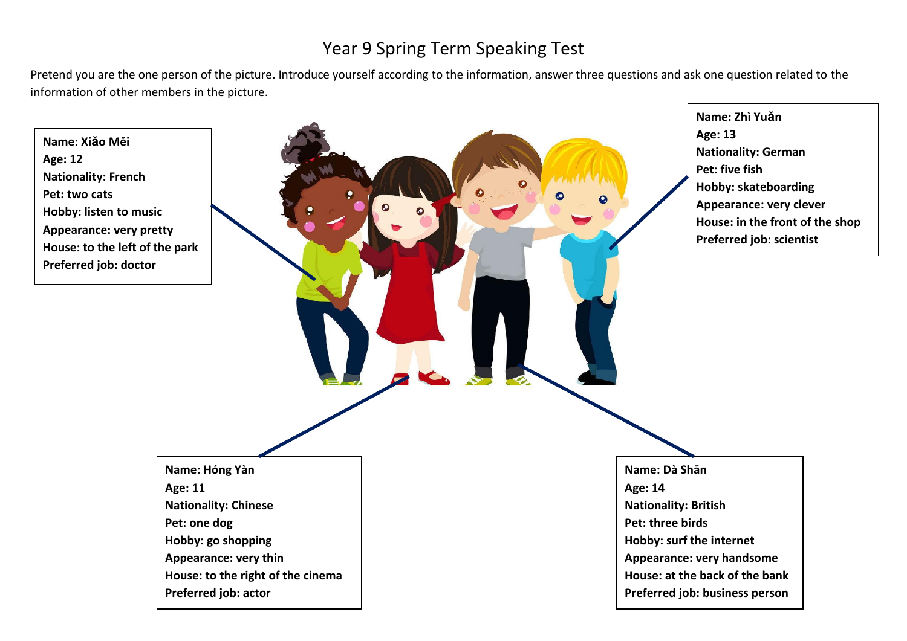## Year 9 Spring Term Speaking Test

Pretend you are the one person of the picture. Introduce yourself according to the information, answer three questions and ask one question related to the information of other members in the picture.

**Name: Xiǎo Měi Age: 12 Nationality: French Pet: two cats Hobby: listen to music Appearance: very pretty House: to the left of the park Preferred job: doctor**

**Age: 11**



**Name: Zhì Yuǎn Age: 13 Nationality: German Pet: five fish Hobby: skateboarding Appearance: very clever House: in the front of the shop Preferred job: scientist**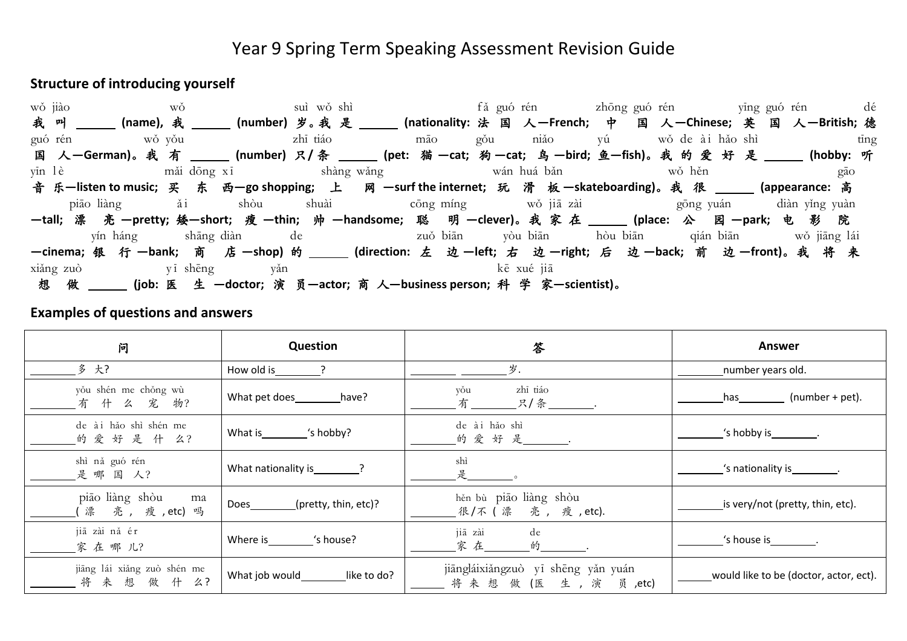### Year 9 Spring Term Speaking Assessment Revision Guide

#### **Structure of introducing yourself**



#### **Examples of questions and answers**

| 问                                              | Question                      | 答                                                          | Answer                                                                                                                             |
|------------------------------------------------|-------------------------------|------------------------------------------------------------|------------------------------------------------------------------------------------------------------------------------------------|
| 多 大?                                           | How old is                    | 岁.                                                         | number years old.                                                                                                                  |
| yǒu shén me chǒng wù<br>有什么 宠 物?               | What pet does have?           | zhī tiáo<br>vou<br>$\mathbb{R}/\hat{\mathbb{A}}$ ________. | (number + pet).<br>has the control of the control of the control of the control of the control of the control of the control of th |
| de ài hảo shì shén me<br>的爱好是什么?               | What is "s hobby?             | de ài hảo shì<br>的爱好是 ______                               | 's hobby is __________.                                                                                                            |
| shì nǎ guó rén<br>是哪国人?                        |                               | shì                                                        | 's nationality is ________.                                                                                                        |
| piāo liàng shòu<br>ma<br>漂亮,瘦,etc)吗            | (pretty, thin, etc)?<br>Does  | hěn bù piāo liàng shòu<br>_ 很 /不 ( 漂   亮 , 瘦 , etc).       | is very/not (pretty, thin, etc).                                                                                                   |
| jiā zài nǎ ér<br>家在哪儿?                         | 's house?<br>Where is         | jiā zài<br>de<br>家在<br>的                                   | 's house is $\frac{1}{2}$ .                                                                                                        |
| jiāng lái xiǎng zuò shén me<br>来想做什<br>么?<br>将 | What job would<br>like to do? | jiāngláixiǎngzuò yī shēng yǎn yuán<br>将来想做(医生,演<br>员 ,etc) | would like to be (doctor, actor, ect).                                                                                             |